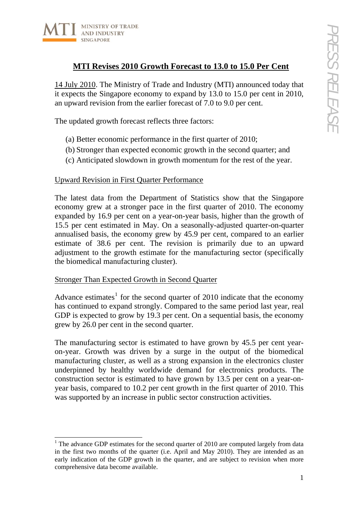

# **MTI Revises 2010 Growth Forecast to 13.0 to 15.0 Per Cent**

14 July 2010. The Ministry of Trade and Industry (MTI) announced today that it expects the Singapore economy to expand by 13.0 to 15.0 per cent in 2010, an upward revision from the earlier forecast of 7.0 to 9.0 per cent.

The updated growth forecast reflects three factors:

- (a) Better economic performance in the first quarter of 2010;
- (b) Stronger than expected economic growth in the second quarter; and
- (c) Anticipated slowdown in growth momentum for the rest of the year.

### Upward Revision in First Quarter Performance

The latest data from the Department of Statistics show that the Singapore economy grew at a stronger pace in the first quarter of 2010. The economy expanded by 16.9 per cent on a year-on-year basis, higher than the growth of 15.5 per cent estimated in May. On a seasonally-adjusted quarter-on-quarter annualised basis, the economy grew by 45.9 per cent, compared to an earlier estimate of 38.6 per cent. The revision is primarily due to an upward adjustment to the growth estimate for the manufacturing sector (specifically the biomedical manufacturing cluster).

#### Stronger Than Expected Growth in Second Quarter

-

Advance estimates<sup>[1](#page-0-0)</sup> for the second quarter of 2010 indicate that the economy has continued to expand strongly. Compared to the same period last year, real GDP is expected to grow by 19.3 per cent. On a sequential basis, the economy grew by 26.0 per cent in the second quarter.

The manufacturing sector is estimated to have grown by 45.5 per cent yearon-year. Growth was driven by a surge in the output of the biomedical manufacturing cluster, as well as a strong expansion in the electronics cluster underpinned by healthy worldwide demand for electronics products. The construction sector is estimated to have grown by 13.5 per cent on a year-onyear basis, compared to 10.2 per cent growth in the first quarter of 2010. This was supported by an increase in public sector construction activities.

<span id="page-0-0"></span><sup>&</sup>lt;sup>1</sup> The advance GDP estimates for the second quarter of 2010 are computed largely from data in the first two months of the quarter (i.e. April and May 2010). They are intended as an early indication of the GDP growth in the quarter, and are subject to revision when more comprehensive data become available.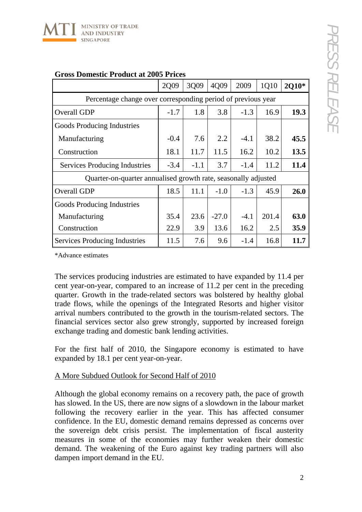

|                                                                | 2Q09   | 3Q09   | 4Q09    | 2009   | 1Q10  | 2Q10*       |
|----------------------------------------------------------------|--------|--------|---------|--------|-------|-------------|
| Percentage change over corresponding period of previous year   |        |        |         |        |       |             |
| Overall GDP                                                    | $-1.7$ | 1.8    | 3.8     | $-1.3$ | 16.9  | <b>19.3</b> |
| Goods Producing Industries                                     |        |        |         |        |       |             |
| Manufacturing                                                  | $-0.4$ | 7.6    | 2.2     | $-4.1$ | 38.2  | 45.5        |
| Construction                                                   | 18.1   | 11.7   | 11.5    | 16.2   | 10.2  | 13.5        |
| <b>Services Producing Industries</b>                           | $-3.4$ | $-1.1$ | 3.7     | $-1.4$ | 11.2  | 11.4        |
| Quarter-on-quarter annualised growth rate, seasonally adjusted |        |        |         |        |       |             |
| Overall GDP                                                    | 18.5   | 11.1   | $-1.0$  | $-1.3$ | 45.9  | 26.0        |
| Goods Producing Industries                                     |        |        |         |        |       |             |
| Manufacturing                                                  | 35.4   | 23.6   | $-27.0$ | $-4.1$ | 201.4 | 63.0        |
| Construction                                                   | 22.9   | 3.9    | 13.6    | 16.2   | 2.5   | 35.9        |
| Services Producing Industries                                  | 11.5   | 7.6    | 9.6     | $-1.4$ | 16.8  | 11.7        |

## **Gross Domestic Product at 2005 Prices**

\*Advance estimates

The services producing industries are estimated to have expanded by 11.4 per cent year-on-year, compared to an increase of 11.2 per cent in the preceding quarter. Growth in the trade-related sectors was bolstered by healthy global trade flows, while the openings of the Integrated Resorts and higher visitor arrival numbers contributed to the growth in the tourism-related sectors. The financial services sector also grew strongly, supported by increased foreign exchange trading and domestic bank lending activities.

For the first half of 2010, the Singapore economy is estimated to have expanded by 18.1 per cent year-on-year.

## A More Subdued Outlook for Second Half of 2010

Although the global economy remains on a recovery path, the pace of growth has slowed. In the US, there are now signs of a slowdown in the labour market following the recovery earlier in the year. This has affected consumer confidence. In the EU, domestic demand remains depressed as concerns over the sovereign debt crisis persist. The implementation of fiscal austerity measures in some of the economies may further weaken their domestic demand. The weakening of the Euro against key trading partners will also dampen import demand in the EU.